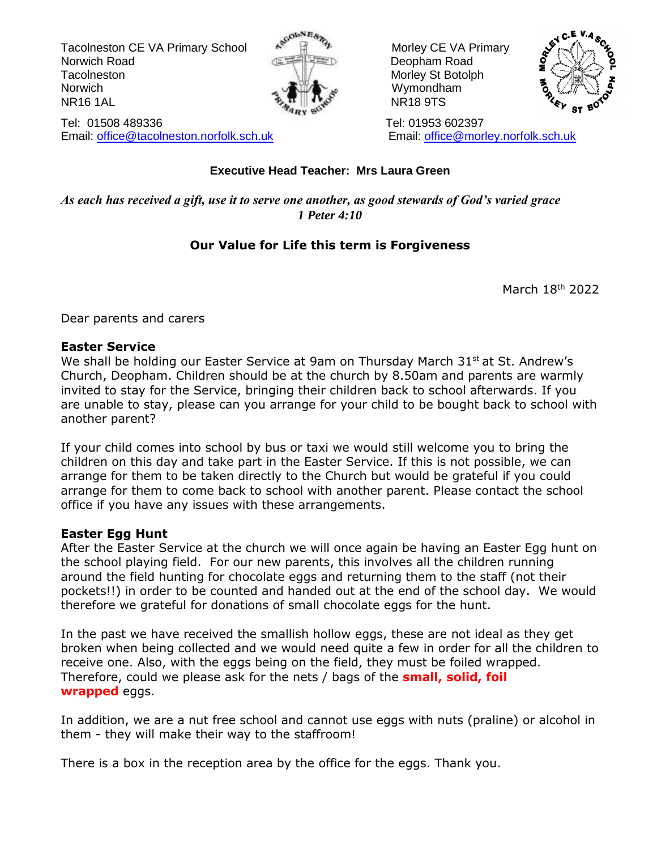Tacolneston CE VA Primary School  $\mathbb{R}^{\mathbb{N}}$   $\mathbb{R}^{\mathbb{N}}$  Morley CE VA Primary Norwich Road **Deopham Road Deopham Road** Tacolneston Morley St Botolph Morley St Botolph Norwich Norwich **Wymondham** NR16 1AL مَعْهَدٍ الْمَجَّةُ الْمَجْهَدِ الْمَجْهَدِ الْمَجْهَدِ الْمَجْهَدِ الْمَجْهَدِ الْمَجْهَدِ الْمَجْهَ



Tel: 01508 489336 Tel: 01953 602397 Email: [office@tacolneston.norfolk.sch.uk](mailto:office@tacolneston.norfolk.sch.uk) Email: [office@morley.norfolk.sch.uk](mailto:office@morley.norfolk.sch.uk) 



#### **Executive Head Teacher: Mrs Laura Green**

*As each has received a gift, use it to serve one another, as good stewards of God's varied grace 1 Peter 4:10*

#### **Our Value for Life this term is Forgiveness**

March 18<sup>th</sup> 2022

Dear parents and carers

#### **Easter Service**

We shall be holding our Easter Service at 9am on Thursday March 31<sup>st</sup> at St. Andrew's Church, Deopham. Children should be at the church by 8.50am and parents are warmly invited to stay for the Service, bringing their children back to school afterwards. If you are unable to stay, please can you arrange for your child to be bought back to school with another parent?

If your child comes into school by bus or taxi we would still welcome you to bring the children on this day and take part in the Easter Service. If this is not possible, we can arrange for them to be taken directly to the Church but would be grateful if you could arrange for them to come back to school with another parent. Please contact the school office if you have any issues with these arrangements.

#### **Easter Egg Hunt**

After the Easter Service at the church we will once again be having an Easter Egg hunt on the school playing field. For our new parents, this involves all the children running around the field hunting for chocolate eggs and returning them to the staff (not their pockets!!) in order to be counted and handed out at the end of the school day. We would therefore we grateful for donations of small chocolate eggs for the hunt.

In the past we have received the smallish hollow eggs, these are not ideal as they get broken when being collected and we would need quite a few in order for all the children to receive one. Also, with the eggs being on the field, they must be foiled wrapped. Therefore, could we please ask for the nets / bags of the **small, solid, foil wrapped** eggs.

In addition, we are a nut free school and cannot use eggs with nuts (praline) or alcohol in them - they will make their way to the staffroom!

There is a box in the reception area by the office for the eggs. Thank you.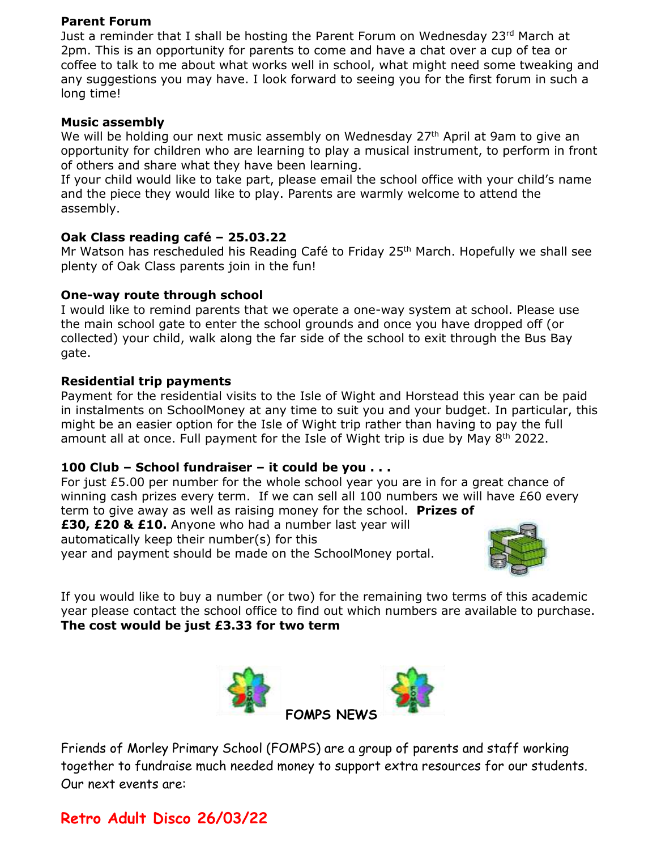#### **Parent Forum**

Just a reminder that I shall be hosting the Parent Forum on Wednesday 23rd March at 2pm. This is an opportunity for parents to come and have a chat over a cup of tea or coffee to talk to me about what works well in school, what might need some tweaking and any suggestions you may have. I look forward to seeing you for the first forum in such a long time!

#### **Music assembly**

We will be holding our next music assembly on Wednesday 27<sup>th</sup> April at 9am to give an opportunity for children who are learning to play a musical instrument, to perform in front of others and share what they have been learning.

If your child would like to take part, please email the school office with your child's name and the piece they would like to play. Parents are warmly welcome to attend the assembly.

#### **Oak Class reading café – 25.03.22**

Mr Watson has rescheduled his Reading Café to Friday 25<sup>th</sup> March. Hopefully we shall see plenty of Oak Class parents join in the fun!

#### **One-way route through school**

I would like to remind parents that we operate a one-way system at school. Please use the main school gate to enter the school grounds and once you have dropped off (or collected) your child, walk along the far side of the school to exit through the Bus Bay gate.

#### **Residential trip payments**

Payment for the residential visits to the Isle of Wight and Horstead this year can be paid in instalments on SchoolMoney at any time to suit you and your budget. In particular, this might be an easier option for the Isle of Wight trip rather than having to pay the full amount all at once. Full payment for the Isle of Wight trip is due by May  $8<sup>th</sup>$  2022.

#### **100 Club – School fundraiser – it could be you . . .**

For just  $£5.00$  per number for the whole school year you are in for a great chance of winning cash prizes every term. If we can sell all 100 numbers we will have £60 every term to give away as well as raising money for the school. **Prizes of** 

**£30, £20 & £10.** Anyone who had a number last year will automatically keep their number(s) for this year and payment should be made on the SchoolMoney portal.



If you would like to buy a number (or two) for the remaining two terms of this academic year please contact the school office to find out which numbers are available to purchase. **The cost would be just £3.33 for two term**



Friends of Morley Primary School (FOMPS) are a group of parents and staff working together to fundraise much needed money to support extra resources for our students. Our next events are:

#### **Retro Adult Disco 26/03/22**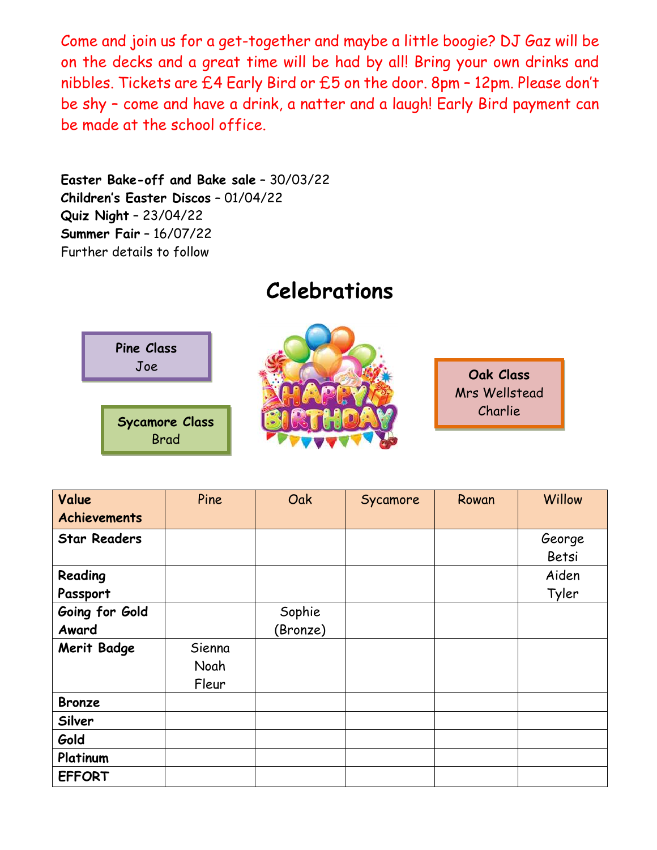Come and join us for a get-together and maybe a little boogie? DJ Gaz will be on the decks and a great time will be had by all! Bring your own drinks and nibbles. Tickets are £4 Early Bird or £5 on the door. 8pm – 12pm. Please don't be shy – come and have a drink, a natter and a laugh! Early Bird payment can be made at the school office.

**Easter Bake-off and Bake sale** – 30/03/22 **Children's Easter Discos** – 01/04/22 **Quiz Night** – 23/04/22 **Summer Fair** – 16/07/22 Further details to follow

## **Celebrations**



| Value               | Pine   | Oak      | Sycamore | Rowan | Willow |
|---------------------|--------|----------|----------|-------|--------|
| <b>Achievements</b> |        |          |          |       |        |
| <b>Star Readers</b> |        |          |          |       | George |
|                     |        |          |          |       | Betsi  |
| Reading             |        |          |          |       | Aiden  |
| Passport            |        |          |          |       | Tyler  |
| Going for Gold      |        | Sophie   |          |       |        |
| Award               |        | (Bronze) |          |       |        |
| Merit Badge         | Sienna |          |          |       |        |
|                     | Noah   |          |          |       |        |
|                     | Fleur  |          |          |       |        |
| <b>Bronze</b>       |        |          |          |       |        |
| Silver              |        |          |          |       |        |
| Gold                |        |          |          |       |        |
| Platinum            |        |          |          |       |        |
| <b>EFFORT</b>       |        |          |          |       |        |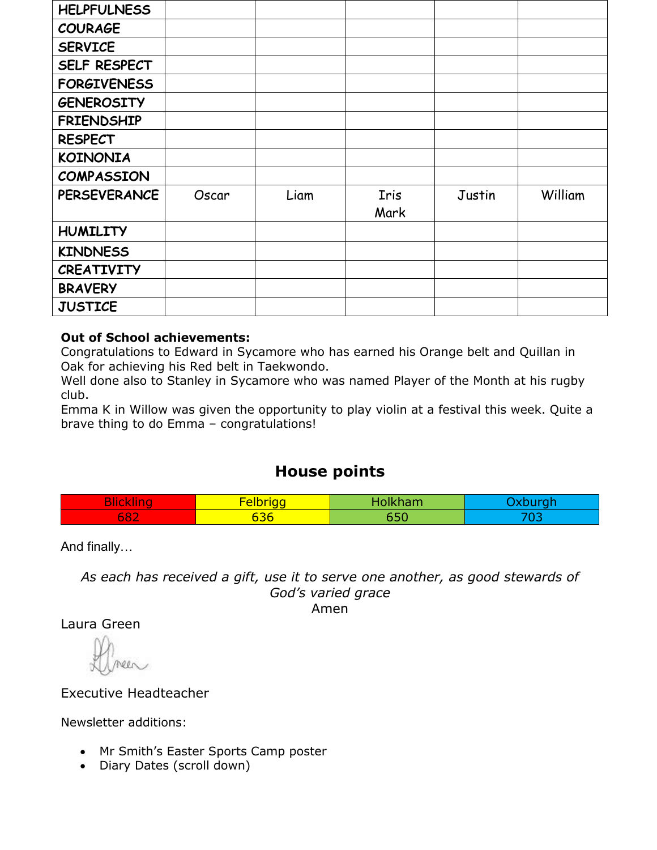| <b>HELPFULNESS</b>  |       |      |      |        |         |
|---------------------|-------|------|------|--------|---------|
| <b>COURAGE</b>      |       |      |      |        |         |
| <b>SERVICE</b>      |       |      |      |        |         |
| SELF RESPECT        |       |      |      |        |         |
| <b>FORGIVENESS</b>  |       |      |      |        |         |
| <b>GENEROSITY</b>   |       |      |      |        |         |
| <b>FRIENDSHIP</b>   |       |      |      |        |         |
| <b>RESPECT</b>      |       |      |      |        |         |
| <b>KOINONIA</b>     |       |      |      |        |         |
| <b>COMPASSION</b>   |       |      |      |        |         |
| <b>PERSEVERANCE</b> | Oscar | Liam | Iris | Justin | William |
|                     |       |      | Mark |        |         |
| <b>HUMILITY</b>     |       |      |      |        |         |
| <b>KINDNESS</b>     |       |      |      |        |         |
| <b>CREATIVITY</b>   |       |      |      |        |         |
| <b>BRAVERY</b>      |       |      |      |        |         |
| <b>JUSTICE</b>      |       |      |      |        |         |

#### **Out of School achievements:**

Congratulations to Edward in Sycamore who has earned his Orange belt and Quillan in Oak for achieving his Red belt in Taekwondo.

Well done also to Stanley in Sycamore who was named Player of the Month at his rugby club.

Emma K in Willow was given the opportunity to play violin at a festival this week. Quite a brave thing to do Emma – congratulations!

#### **House points**

| $\sim$<br><b>The Second Second Second</b><br>--<br>$\sim$ | -<br>$\sim$<br>-- |  |
|-----------------------------------------------------------|-------------------|--|
| <b>CONTRACTOR</b><br>ხŏ∠                                  | 73 G.             |  |

And finally…

*As each has received a gift, use it to serve one another, as good stewards of God's varied grace* Amen

Laura Green

Executive Headteacher

Newsletter additions:

- Mr Smith's Easter Sports Camp poster
- Diary Dates (scroll down)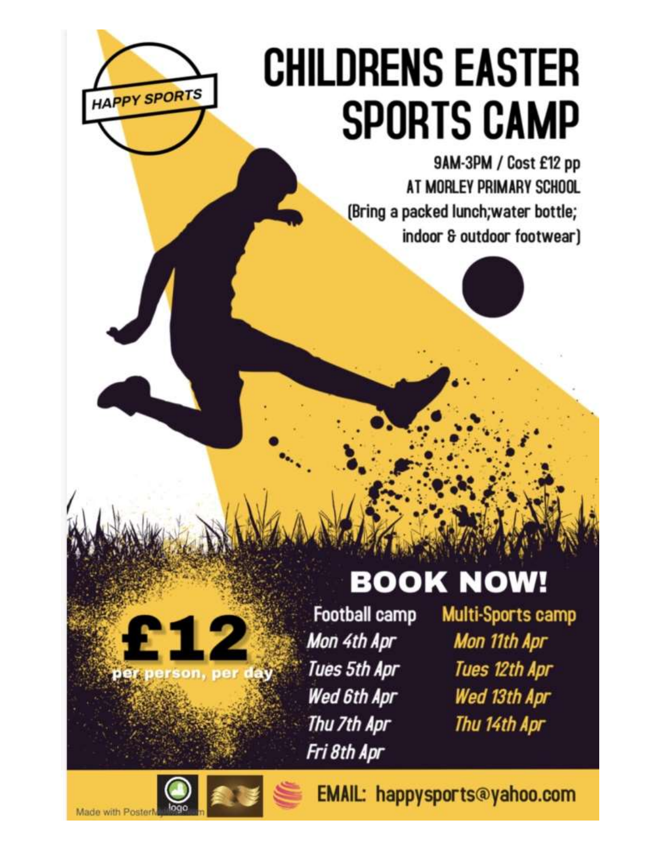# **CHILDRENS EASTER SPORTS CAMP**

9AM-3PM / Cost £12 pp AT MORLEY PRIMARY SCHOOL (Bring a packed lunch; water bottle; indoor & outdoor footwear)

# **BOOK NOW!**

**Football camp** Mon 4th Apr Tues 5th Apr Wed 6th Apr Thu 7th Apr Fri 8th Apr

Multi-Sports camp Mon 11th Apr Tues 12th Apr Wed 13th Apr Thu 14th Apr

**HAPPY SPORTS** 

EMAIL: happysports@yahoo.com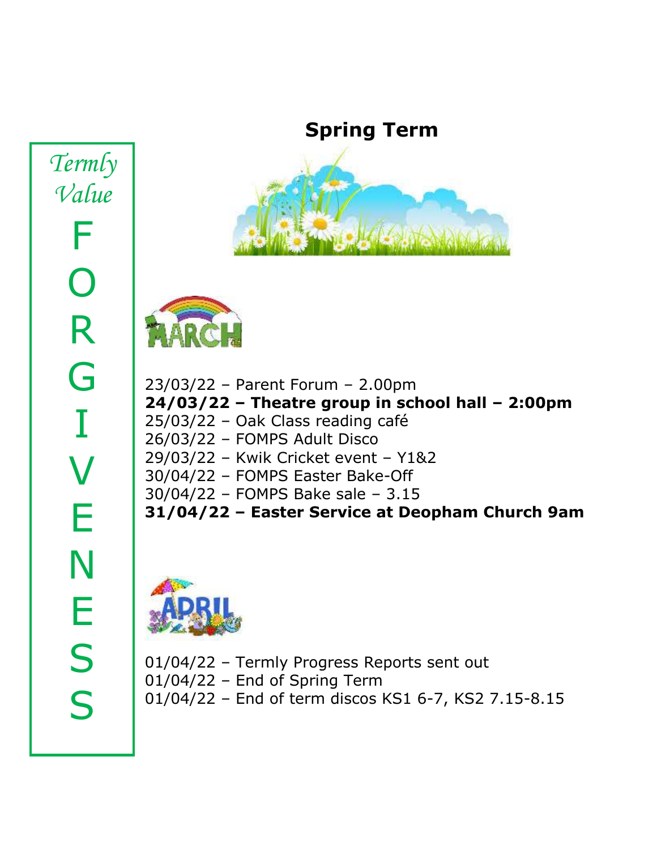*Termly Value* F O R G I V E N E S S

# **Spring Term**





23/03/22 – Parent Forum – 2.00pm **24/03/22 – Theatre group in school hall – 2:00pm** 25/03/22 – Oak Class reading café 26/03/22 – FOMPS Adult Disco 29/03/22 – Kwik Cricket event – Y1&2 30/04/22 – FOMPS Easter Bake-Off 30/04/22 – FOMPS Bake sale – 3.15 **31/04/22 – Easter Service at Deopham Church 9am**



01/04/22 – Termly Progress Reports sent out 01/04/22 – End of Spring Term 01/04/22 – End of term discos KS1 6-7, KS2 7.15-8.15